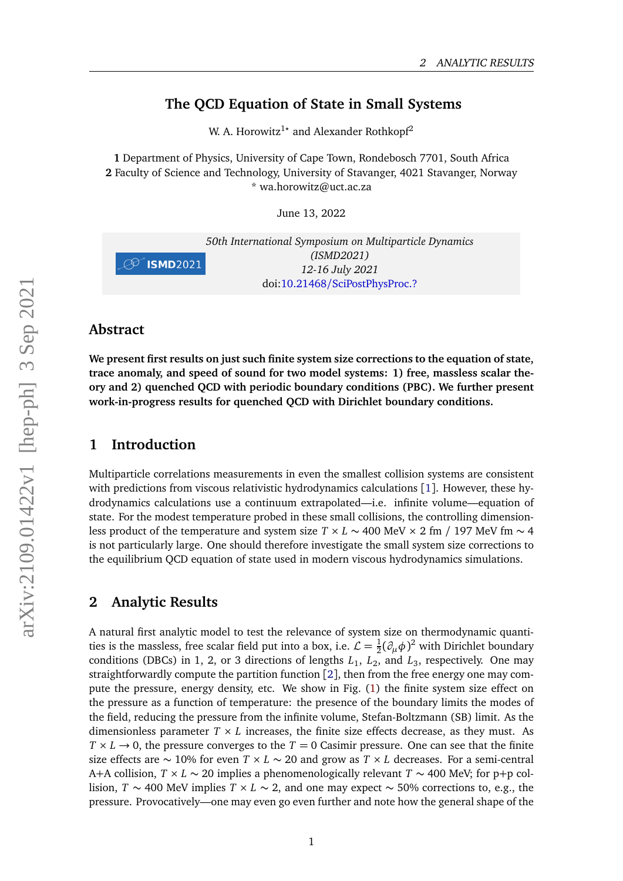## **The QCD Equation of State in Small Systems**

W. A. Horowitz<sup>1</sup><sup>\*</sup> and Alexander Rothkopf<sup>2</sup>

**1** Department of Physics, University of Cape Town, Rondebosch 7701, South Africa **2** Faculty of Science and Technology, University of Stavanger, 4021 Stavanger, Norway \* wa.horowitz@uct.ac.za

June 13, 2022



#### **Abstract**

**We present first results on just such finite system size corrections to the equation of state, trace anomaly, and speed of sound for two model systems: 1) free, massless scalar theory and 2) quenched QCD with periodic boundary conditions (PBC). We further present work-in-progress results for quenched QCD with Dirichlet boundary conditions.**

## **1 Introduction**

Multiparticle correlations measurements in even the smallest collision systems are consistent with predictions from viscous relativistic hydrodynamics calculations [[1](#page-3-0)]. However, these hydrodynamics calculations use a continuum extrapolated—i.e. infinite volume—equation of state. For the modest temperature probed in these small collisions, the controlling dimensionless product of the temperature and system size *T* × *L* ~ 400 MeV × 2 fm / 197 MeV fm ~ 4 is not particularly large. One should therefore investigate the small system size corrections to the equilibrium QCD equation of state used in modern viscous hydrodynamics simulations.

#### **2 Analytic Results**

A natural first analytic model to test the relevance of system size on thermodynamic quantities is the massless, free scalar field put into a box, i.e.  $\mathcal{L}=\frac{1}{2}$  $\frac{1}{2}(\partial_{\mu}\phi)^{2}$  with Dirichlet boundary conditions (DBCs) in 1, 2, or 3 directions of lengths  $L_1$ ,  $L_2$ , and  $L_3$ , respectively. One may straightforwardly compute the partition function  $[2]$  $[2]$  $[2]$ , then from the free energy one may compute the pressure, energy density, etc. We show in Fig. [\(1\)](#page-1-0) the finite system size effect on the pressure as a function of temperature: the presence of the boundary limits the modes of the field, reducing the pressure from the infinite volume, Stefan-Boltzmann (SB) limit. As the dimensionless parameter  $T \times L$  increases, the finite size effects decrease, as they must. As  $T \times L \rightarrow 0$ , the pressure converges to the  $T = 0$  Casimir pressure. One can see that the finite size effects are ∼ 10% for even *T* × *L* ∼ 20 and grow as *T* × *L* decreases. For a semi-central A+A collision, *T* × *L* ∼ 20 implies a phenomenologically relevant *T* ∼ 400 MeV; for p+p collision, *T* ∼ 400 MeV implies *T* × *L* ∼ 2, and one may expect ∼ 50% corrections to, e.g., the pressure. Provocatively—one may even go even further and note how the general shape of the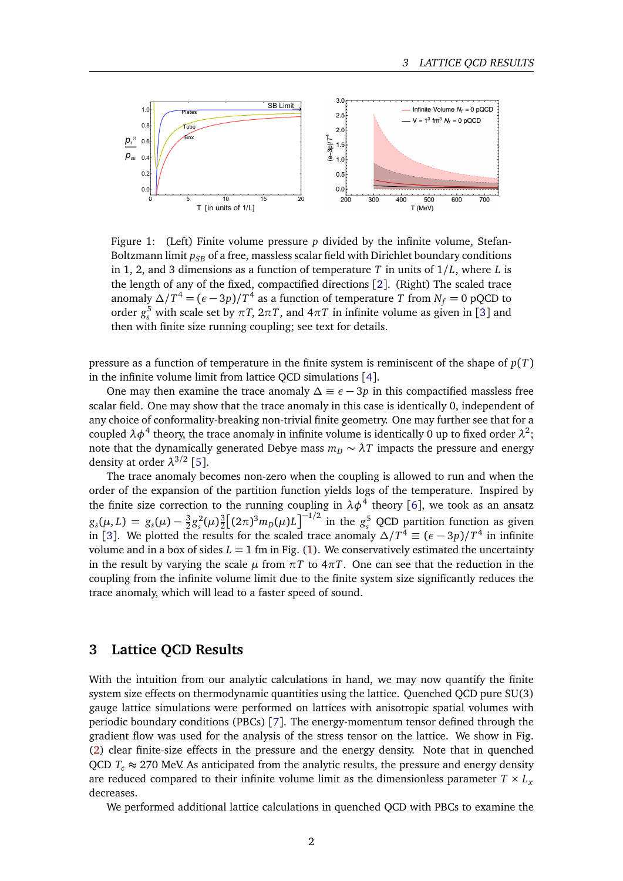<span id="page-1-0"></span>

Figure 1: (Left) Finite volume pressure *p* divided by the infinite volume, Stefan-Boltzmann limit  $p_{SB}$  of a free, massless scalar field with Dirichlet boundary conditions in 1, 2, and 3 dimensions as a function of temperature *T* in units of 1*/L*, where *L* is the length of any of the fixed, compactified directions [[2](#page-3-1)]. (Right) The scaled trace anomaly  $\Delta/T^4 = (\epsilon - 3p)/T^4$  as a function of temperature  $T$  from  $N_f = 0$  pQCD to order  $g_s^5$  with scale set by  $\pi T$ ,  $2\pi T$ , and  $4\pi T$  in infinite volume as given in [[3](#page-3-2)] and then with finite size running coupling; see text for details.

pressure as a function of temperature in the finite system is reminiscent of the shape of *p*(*T*) in the infinite volume limit from lattice QCD simulations [[4](#page-3-3)].

One may then examine the trace anomaly  $\Delta \equiv \epsilon - 3p$  in this compactified massless free scalar field. One may show that the trace anomaly in this case is identically 0, independent of any choice of conformality-breaking non-trivial finite geometry. One may further see that for a coupled  $\lambda \phi^4$  theory, the trace anomaly in infinite volume is identically 0 up to fixed order  $\lambda^2$ ; note that the dynamically generated Debye mass  $m_D \sim \lambda T$  impacts the pressure and energy density at order *λ* 3*/*2 [[5](#page-3-4)].

The trace anomaly becomes non-zero when the coupling is allowed to run and when the order of the expansion of the partition function yields logs of the temperature. Inspired by the finite size correction to the running coupling in  $\lambda \phi^4$  theory [[6](#page-3-5)], we took as an ansatz  $g_s(\mu, L) = g_s(\mu) - \frac{3}{2}$  $\frac{3}{2}g_s^2(\mu)^{\frac{3}{2}}$  $\frac{3}{2} \left[ (2\pi)^3 m_D(\mu) L \right]^{-1/2}$  in the *g<sub>s</sub>* QCD partition function as given in [[3](#page-3-2)]. We plotted the results for the scaled trace anomaly  $\Delta/T^4 \equiv (\epsilon - 3p)/T^4$  in infinite volume and in a box of sides  $L = 1$  fm in Fig. [\(1\)](#page-1-0). We conservatively estimated the uncertainty in the result by varying the scale  $\mu$  from  $\pi T$  to  $4\pi T$ . One can see that the reduction in the coupling from the infinite volume limit due to the finite system size significantly reduces the trace anomaly, which will lead to a faster speed of sound.

#### **3 Lattice QCD Results**

With the intuition from our analytic calculations in hand, we may now quantify the finite system size effects on thermodynamic quantities using the lattice. Quenched QCD pure SU(3) gauge lattice simulations were performed on lattices with anisotropic spatial volumes with periodic boundary conditions (PBCs) [[7](#page-3-6)]. The energy-momentum tensor defined through the gradient flow was used for the analysis of the stress tensor on the lattice. We show in Fig. [\(2\)](#page-2-0) clear finite-size effects in the pressure and the energy density. Note that in quenched QCD  $T_c \approx 270$  MeV. As anticipated from the analytic results, the pressure and energy density are reduced compared to their infinite volume limit as the dimensionless parameter  $T \times L<sub>x</sub>$ decreases.

We performed additional lattice calculations in quenched QCD with PBCs to examine the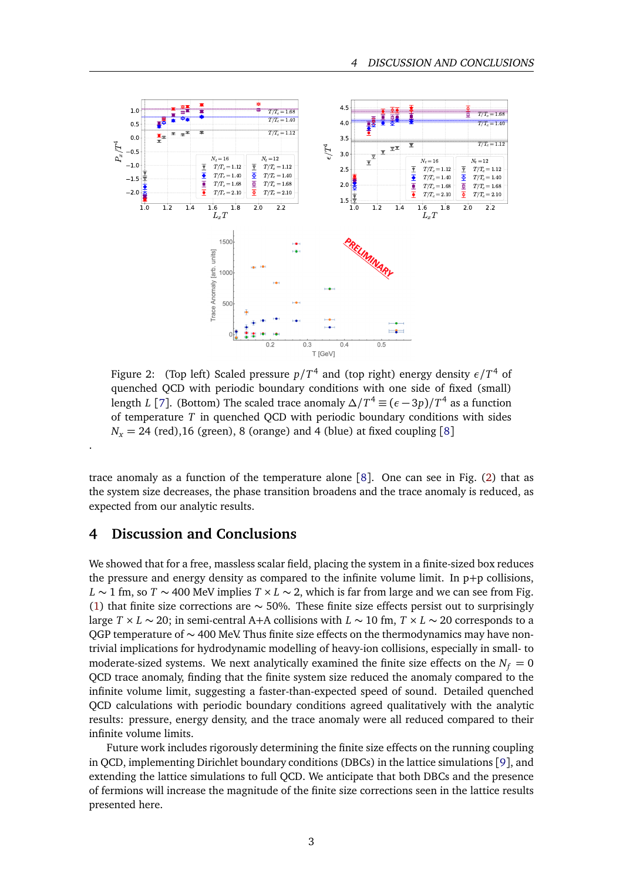<span id="page-2-0"></span>

Figure 2: (Top left) Scaled pressure *p/T* 4 and (top right) energy density *ε/T* <sup>4</sup> of quenched QCD with periodic boundary conditions with one side of fixed (small) length *L* [[7](#page-3-6)]. (Bottom) The scaled trace anomaly  $\Delta/T^4 \equiv (\epsilon - 3p)/T^4$  as a function of temperature *T* in quenched QCD with periodic boundary conditions with sides  $N_r = 24$  (red), 16 (green), [8](#page-3-7) (orange) and 4 (blue) at fixed coupling [8]

trace anomaly as a function of the temperature alone [[8](#page-3-7)]. One can see in Fig. [\(2\)](#page-2-0) that as the system size decreases, the phase transition broadens and the trace anomaly is reduced, as expected from our analytic results.

## **4 Discussion and Conclusions**

.

We showed that for a free, massless scalar field, placing the system in a finite-sized box reduces the pressure and energy density as compared to the infinite volume limit. In  $p+p$  collisions, *L* ∼ 1 fm, so *T* ∼ 400 MeV implies *T* × *L* ∼ 2, which is far from large and we can see from Fig. [\(1\)](#page-1-0) that finite size corrections are  $\sim$  50%. These finite size effects persist out to surprisingly large *T* × *L* ∼ 20; in semi-central A+A collisions with *L* ∼ 10 fm, *T* × *L* ∼ 20 corresponds to a QGP temperature of ~ 400 MeV. Thus finite size effects on the thermodynamics may have nontrivial implications for hydrodynamic modelling of heavy-ion collisions, especially in small- to moderate-sized systems. We next analytically examined the finite size effects on the  $N_f = 0$ QCD trace anomaly, finding that the finite system size reduced the anomaly compared to the infinite volume limit, suggesting a faster-than-expected speed of sound. Detailed quenched QCD calculations with periodic boundary conditions agreed qualitatively with the analytic results: pressure, energy density, and the trace anomaly were all reduced compared to their infinite volume limits.

Future work includes rigorously determining the finite size effects on the running coupling in QCD, implementing Dirichlet boundary conditions (DBCs) in the lattice simulations [[9](#page-3-8)], and extending the lattice simulations to full QCD. We anticipate that both DBCs and the presence of fermions will increase the magnitude of the finite size corrections seen in the lattice results presented here.